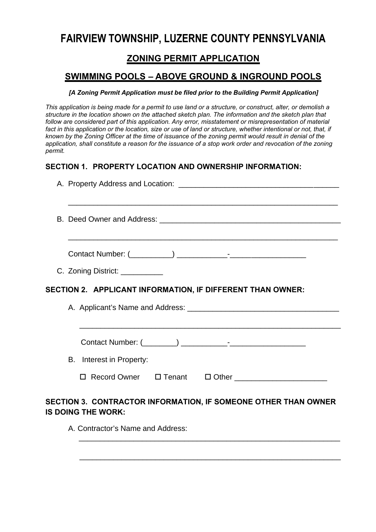# **FAIRVIEW TOWNSHIP, LUZERNE COUNTY PENNSYLVANIA**

## **ZONING PERMIT APPLICATION**

## **SWIMMING POOLS – ABOVE GROUND & INGROUND POOLS**

#### *[A Zoning Permit Application must be filed prior to the Building Permit Application]*

*This application is being made for a permit to use land or a structure, or construct, alter, or demolish a structure in the location shown on the attached sketch plan. The information and the sketch plan that follow are considered part of this application. Any error, misstatement or misrepresentation of material*  fact in this application or the location, size or use of land or structure, whether intentional or not, that, if *known by the Zoning Officer at the time of issuance of the zoning permit would result in denial of the application, shall constitute a reason for the issuance of a stop work order and revocation of the zoning permit.* 

### **SECTION 1. PROPERTY LOCATION AND OWNERSHIP INFORMATION:**

| <u> 1989 - Johann Stoff, amerikansk politiker (* 1908)</u>                                  |
|---------------------------------------------------------------------------------------------|
| <u> 1989 - Johann Stoff, amerikansk politiker (d. 1989)</u>                                 |
| C. Zoning District: __________                                                              |
| SECTION 2. APPLICANT INFORMATION, IF DIFFERENT THAN OWNER:                                  |
|                                                                                             |
| B. Interest in Property:                                                                    |
|                                                                                             |
| SECTION 3. CONTRACTOR INFORMATION, IF SOMEONE OTHER THAN OWNER<br><b>IS DOING THE WORK:</b> |

\_\_\_\_\_\_\_\_\_\_\_\_\_\_\_\_\_\_\_\_\_\_\_\_\_\_\_\_\_\_\_\_\_\_\_\_\_\_\_\_\_\_\_\_\_\_\_\_\_\_\_\_\_\_\_\_\_\_\_\_\_\_

\_\_\_\_\_\_\_\_\_\_\_\_\_\_\_\_\_\_\_\_\_\_\_\_\_\_\_\_\_\_\_\_\_\_\_\_\_\_\_\_\_\_\_\_\_\_\_\_\_\_\_\_\_\_\_\_\_\_\_\_\_\_

A. Contractor's Name and Address: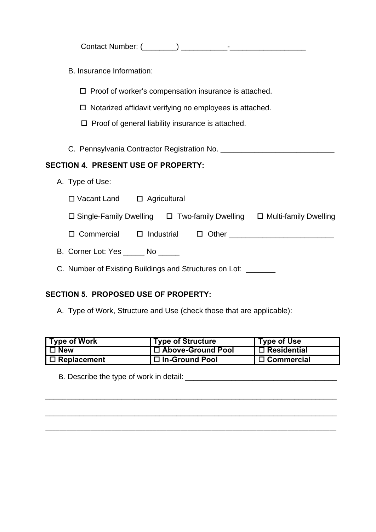B. Insurance Information:

 $\square$  Proof of worker's compensation insurance is attached.

 $\square$  Notarized affidavit verifying no employees is attached.

 $\square$  Proof of general liability insurance is attached.

C. Pennsylvania Contractor Registration No.

### **SECTION 4. PRESENT USE OF PROPERTY:**

A. Type of Use:

| □ Vacant Land | $\Box$ Agricultural |
|---------------|---------------------|
|---------------|---------------------|

| □ Single-Family Dwelling | $\Box$ Two-family Dwelling | □ Multi-family Dwelling |
|--------------------------|----------------------------|-------------------------|
|--------------------------|----------------------------|-------------------------|

| □ Commercial<br>$\square$ Industrial | $\Box$ Other |
|--------------------------------------|--------------|
|--------------------------------------|--------------|

- B. Corner Lot: Yes \_\_\_\_\_ No \_\_\_\_\_
- C. Number of Existing Buildings and Structures on Lot: \_\_\_\_\_\_

### **SECTION 5. PROPOSED USE OF PROPERTY:**

A. Type of Work, Structure and Use (check those that are applicable):

| <b>Type of Work</b> | <b>Type of Structure</b> | Type of Use                               |
|---------------------|--------------------------|-------------------------------------------|
| l ⊡ New             | □ Above-Ground Pool      | l □ Residential                           |
| $\Box$ Replacement  | $\Box$ In-Ground Pool    | $\mathsf{I} \ \Box \ \mathsf{Commercial}$ |

\_\_\_\_\_\_\_\_\_\_\_\_\_\_\_\_\_\_\_\_\_\_\_\_\_\_\_\_\_\_\_\_\_\_\_\_\_\_\_\_\_\_\_\_\_\_\_\_\_\_\_\_\_\_\_\_\_\_\_\_\_\_\_\_\_\_\_\_\_

\_\_\_\_\_\_\_\_\_\_\_\_\_\_\_\_\_\_\_\_\_\_\_\_\_\_\_\_\_\_\_\_\_\_\_\_\_\_\_\_\_\_\_\_\_\_\_\_\_\_\_\_\_\_\_\_\_\_\_\_\_\_\_\_\_\_\_\_\_

\_\_\_\_\_\_\_\_\_\_\_\_\_\_\_\_\_\_\_\_\_\_\_\_\_\_\_\_\_\_\_\_\_\_\_\_\_\_\_\_\_\_\_\_\_\_\_\_\_\_\_\_\_\_\_\_\_\_\_\_\_\_\_\_\_\_\_\_\_\_\_\_\_\_\_\_\_\_\_\_\_\_\_\_

B. Describe the type of work in detail: \_\_\_\_\_\_\_\_\_\_\_\_\_\_\_\_\_\_\_\_\_\_\_\_\_\_\_\_\_\_\_\_ \_\_\_\_\_\_\_\_\_\_\_\_\_\_\_\_\_\_\_\_\_\_\_\_\_\_\_\_\_\_\_\_\_\_\_\_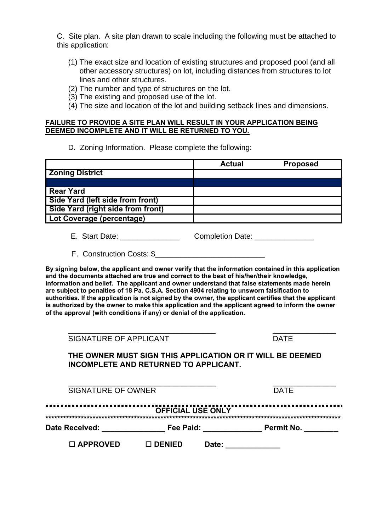C. Site plan. A site plan drawn to scale including the following must be attached to this application:

- (1) The exact size and location of existing structures and proposed pool (and all other accessory structures) on lot, including distances from structures to lot lines and other structures.
- (2) The number and type of structures on the lot.
- (3) The existing and proposed use of the lot.
- (4) The size and location of the lot and building setback lines and dimensions.

#### **FAILURE TO PROVIDE A SITE PLAN WILL RESULT IN YOUR APPLICATION BEING DEEMED INCOMPLETE AND IT WILL BE RETURNED TO YOU.**

#### D. Zoning Information. Please complete the following:

|                                   | <b>Actual</b> | <b>Proposed</b> |
|-----------------------------------|---------------|-----------------|
| <b>Zoning District</b>            |               |                 |
|                                   |               |                 |
| <b>Rear Yard</b>                  |               |                 |
| Side Yard (left side from front)  |               |                 |
| Side Yard (right side from front) |               |                 |
| Lot Coverage (percentage)         |               |                 |

- **E. Start Date:**  Letter and the completion Date:  $\blacksquare$
- F. Construction Costs: \$

**By signing below, the applicant and owner verify that the information contained in this application and the documents attached are true and correct to the best of his/her/their knowledge, information and belief. The applicant and owner understand that false statements made herein are subject to penalties of 18 Pa. C.S.A. Section 4904 relating to unsworn falsification to authorities. If the application is not signed by the owner, the applicant certifies that the applicant is authorized by the owner to make this application and the applicant agreed to inform the owner of the approval (with conditions if any) or denial of the application.** 

| SIGNATURE OF APPLICANT | <b>DATE</b> |
|------------------------|-------------|
|------------------------|-------------|

\_\_\_\_\_\_\_\_\_\_\_\_\_\_\_\_\_\_\_\_\_\_\_\_\_\_\_\_\_\_\_\_\_\_\_ \_\_\_\_\_\_\_\_\_\_\_\_\_\_\_

**THE OWNER MUST SIGN THIS APPLICATION OR IT WILL BE DEEMED INCOMPLETE AND RETURNED TO APPLICANT.** 

| <b>SIGNATURE OF OWNER</b>                                             |                 |       | <b>DATE</b> |  |
|-----------------------------------------------------------------------|-----------------|-------|-------------|--|
| <b>OFFICIAL USE ONLY</b><br>Fee Paid:<br>Date Received:<br>Permit No. |                 |       |             |  |
| $\Box$ APPROVED                                                       | $\sqcap$ DENIED | Date: |             |  |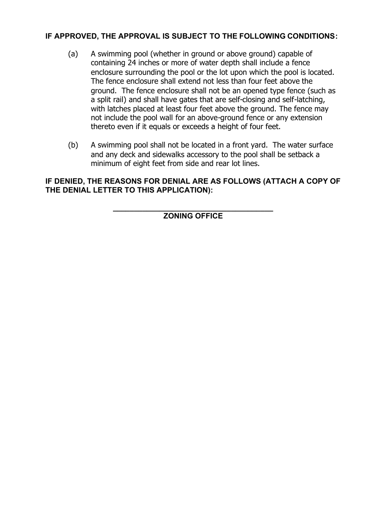### **IF APPROVED, THE APPROVAL IS SUBJECT TO THE FOLLOWING CONDITIONS:**

- (a) A swimming pool (whether in ground or above ground) capable of containing 24 inches or more of water depth shall include a fence enclosure surrounding the pool or the lot upon which the pool is located. The fence enclosure shall extend not less than four feet above the ground. The fence enclosure shall not be an opened type fence (such as a split rail) and shall have gates that are self-closing and self-latching, with latches placed at least four feet above the ground. The fence may not include the pool wall for an above-ground fence or any extension thereto even if it equals or exceeds a height of four feet.
- (b) A swimming pool shall not be located in a front yard. The water surface and any deck and sidewalks accessory to the pool shall be setback a minimum of eight feet from side and rear lot lines.

**IF DENIED, THE REASONS FOR DENIAL ARE AS FOLLOWS (ATTACH A COPY OF THE DENIAL LETTER TO THIS APPLICATION):**

> **\_\_\_\_\_\_\_\_\_\_\_\_\_\_\_\_\_\_\_\_\_\_\_\_\_\_\_\_\_\_\_\_\_\_\_\_\_\_ ZONING OFFICE**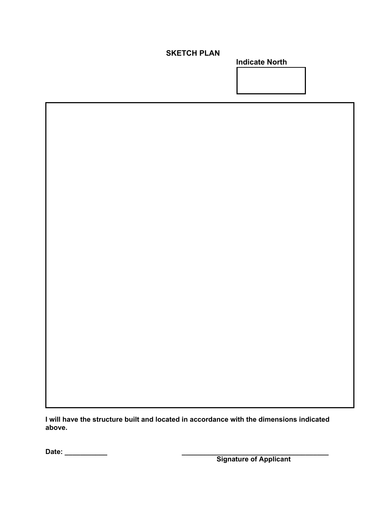## **SKETCH PLAN**

**Indicate North**



**I will have the structure built and located in accordance with the dimensions indicated above.**

**Date: \_\_\_\_\_\_\_\_\_\_\_ \_\_\_\_\_\_\_\_\_\_\_\_\_\_\_\_\_\_\_\_\_\_\_\_\_\_\_\_\_\_\_\_\_\_\_\_\_\_**

 **Signature of Applicant**